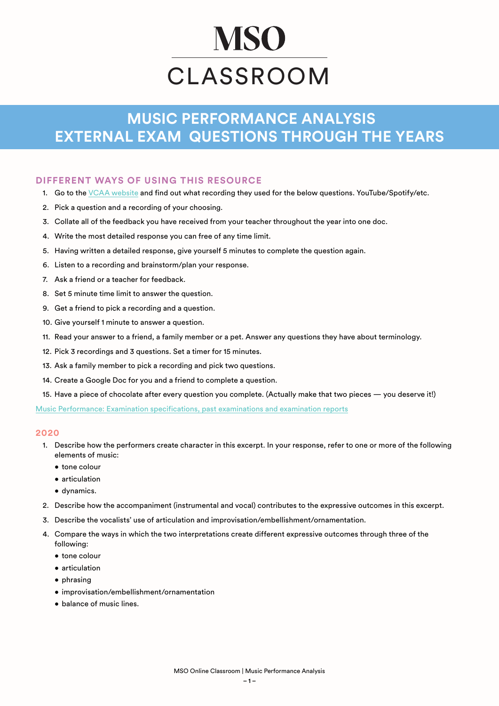# **MSO** CLASSROOM

# **MUSIC PERFORMANCE ANALYSIS EXTERNAL EXAM QUESTIONS THROUGH THE YEARS**

# **DIFFERENT WAYS OF USING THIS RESOURCE**

- 1. Go to the [VCAA website](https://www.vcaa.vic.edu.au/assessment/vce-assessment/past-examinations/Pages/Music-Performance.aspx) and find out what recording they used for the below questions. YouTube/Spotify/etc.
- 2. Pick a question and a recording of your choosing.
- 3. Collate all of the feedback you have received from your teacher throughout the year into one doc.
- 4. Write the most detailed response you can free of any time limit.
- 5. Having written a detailed response, give yourself 5 minutes to complete the question again.
- 6. Listen to a recording and brainstorm/plan your response.
- 7. Ask a friend or a teacher for feedback.
- 8. Set 5 minute time limit to answer the question.
- 9. Get a friend to pick a recording and a question.
- 10. Give yourself 1 minute to answer a question.
- 11. Read your answer to a friend, a family member or a pet. Answer any questions they have about terminology.
- 12. Pick 3 recordings and 3 questions. Set a timer for 15 minutes.
- 13. Ask a family member to pick a recording and pick two questions.
- 14. Create a Google Doc for you and a friend to complete a question.
- 15. Have a piece of chocolate after every question you complete. (Actually make that two pieces you deserve it!)

[Music Performance: Examination specifications, past examinations and examination reports](https://www.vcaa.vic.edu.au/assessment/vce-assessment/past-examinations/Pages/Music-Performance.aspx)

#### **2020**

- 1. Describe how the performers create character in this excerpt. In your response, refer to one or more of the following elements of music:
	- tone colour
	- articulation
	- dynamics.
- 2. Describe how the accompaniment (instrumental and vocal) contributes to the expressive outcomes in this excerpt.
- 3. Describe the vocalists' use of articulation and improvisation/embellishment/ornamentation.
- 4. Compare the ways in which the two interpretations create different expressive outcomes through three of the following:
	- tone colour
	- articulation
	- phrasing
	- improvisation/embellishment/ornamentation
	- balance of music lines.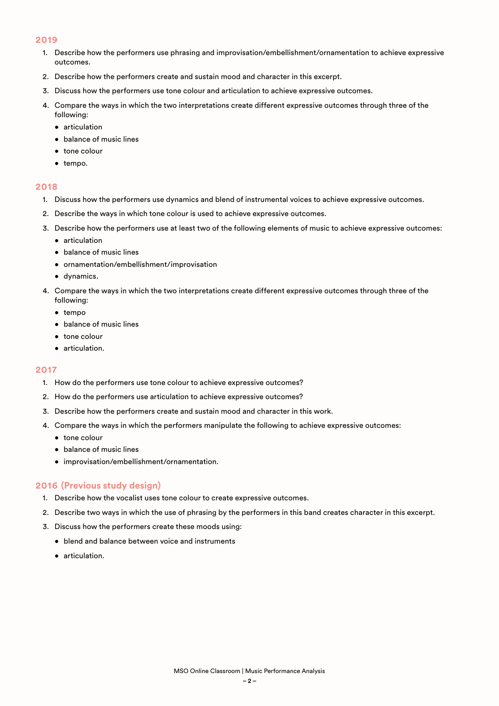#### **2019**

- 1. Describe how the performers use phrasing and improvisation/embellishment/ornamentation to achieve expressive outcomes.
- 2. Describe how the performers create and sustain mood and character in this excerpt.
- 3. Discuss how the performers use tone colour and articulation to achieve expressive outcomes.
- 4. Compare the ways in which the two interpretations create different expressive outcomes through three of the following:
	- articulation
	- balance of music lines
	- tone colour
	- tempo.

#### **2018**

- 1. Discuss how the performers use dynamics and blend of instrumental voices to achieve expressive outcomes.
- 2. Describe the ways in which tone colour is used to achieve expressive outcomes.
- 3. Describe how the performers use at least two of the following elements of music to achieve expressive outcomes:
	- articulation
	- balance of music lines
	- ornamentation/embellishment/improvisation
	- dynamics.
- 4. Compare the ways in which the two interpretations create different expressive outcomes through three of the following:
	- tempo
	- balance of music lines
	- tone colour
	- articulation.

#### **2017**

- 1. How do the performers use tone colour to achieve expressive outcomes?
- 2. How do the performers use articulation to achieve expressive outcomes?
- 3. Describe how the performers create and sustain mood and character in this work.
- 4. Compare the ways in which the performers manipulate the following to achieve expressive outcomes:
	- tone colour
	- balance of music lines
	- improvisation/embellishment/ornamentation.

# **2016 (Previous study design)**

- 1. Describe how the vocalist uses tone colour to create expressive outcomes.
- 2. Describe two ways in which the use of phrasing by the performers in this band creates character in this excerpt.
- 3. Discuss how the performers create these moods using:
	- blend and balance between voice and instruments
	- articulation.